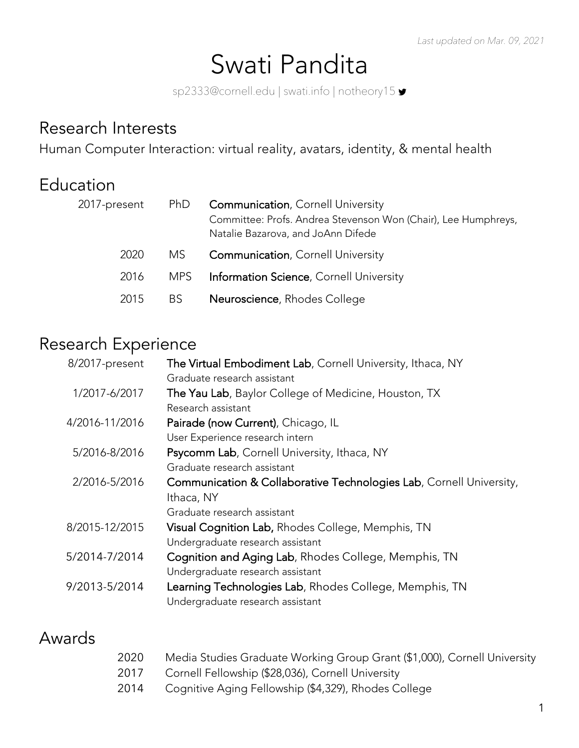# Swati Pandita

sp2333@cornell.edu | swati.info | notheory15  $\blacktriangleright$ 

#### Research Interests

Human Computer Interaction: virtual reality, avatars, identity, & mental health

### Education

| 2017-present | <b>PhD</b> | <b>Communication, Cornell University</b><br>Committee: Profs. Andrea Stevenson Won (Chair), Lee Humphreys,<br>Natalie Bazarova, and JoAnn Difede |
|--------------|------------|--------------------------------------------------------------------------------------------------------------------------------------------------|
| 2020         | MS         | <b>Communication, Cornell University</b>                                                                                                         |
| 2016         | MPS.       | <b>Information Science, Cornell University</b>                                                                                                   |
| 2015         | BS.        | Neuroscience, Rhodes College                                                                                                                     |

#### Research Experience

| 8/2017-present | The Virtual Embodiment Lab, Cornell University, Ithaca, NY                                 |
|----------------|--------------------------------------------------------------------------------------------|
|                | Graduate research assistant                                                                |
| 1/2017-6/2017  | The Yau Lab, Baylor College of Medicine, Houston, TX                                       |
|                | Research assistant                                                                         |
| 4/2016-11/2016 | Pairade (now Current), Chicago, IL                                                         |
|                | User Experience research intern                                                            |
| 5/2016-8/2016  | Psycomm Lab, Cornell University, Ithaca, NY                                                |
|                | Graduate research assistant                                                                |
| 2/2016-5/2016  | Communication & Collaborative Technologies Lab, Cornell University,                        |
|                | Ithaca, NY                                                                                 |
|                | Graduate research assistant                                                                |
| 8/2015-12/2015 | Visual Cognition Lab, Rhodes College, Memphis, TN                                          |
|                | Undergraduate research assistant                                                           |
| 5/2014-7/2014  | Cognition and Aging Lab, Rhodes College, Memphis, TN                                       |
|                | Undergraduate research assistant                                                           |
| 9/2013-5/2014  | Learning Technologies Lab, Rhodes College, Memphis, TN<br>Undergraduate research assistant |

### Awards

| 2020 | Media Studies Graduate Working Group Grant (\$1,000), Cornell University |
|------|--------------------------------------------------------------------------|
| 2017 | Cornell Fellowship (\$28,036), Cornell University                        |
| 2014 | Cognitive Aging Fellowship (\$4,329), Rhodes College                     |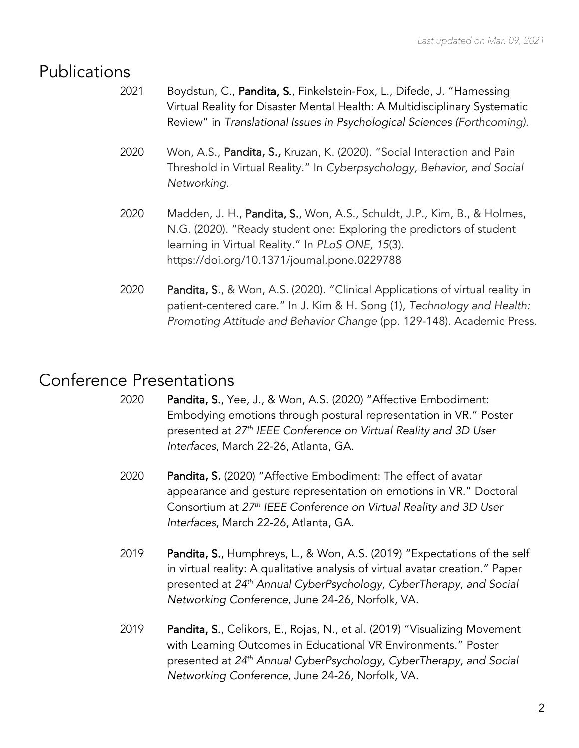### Publications

- 2021 Boydstun, C., Pandita, S., Finkelstein-Fox, L., Difede, J. "Harnessing Virtual Reality for Disaster Mental Health: A Multidisciplinary Systematic Review" in *Translational Issues in Psychological Sciences (Forthcoming).*
- 2020 Won, A.S., Pandita, S., Kruzan, K. (2020). "Social Interaction and Pain Threshold in Virtual Reality." In *Cyberpsychology, Behavior, and Social Networking*.
- 2020 Madden, J. H., Pandita, S., Won, A.S., Schuldt, J.P., Kim, B., & Holmes, N.G. (2020). "Ready student one: Exploring the predictors of student learning in Virtual Reality." In *PLoS ONE, 15*(3). https://doi.org/10.1371/journal.pone.0229788
- 2020 Pandita, S., & Won, A.S. (2020). "Clinical Applications of virtual reality in patient-centered care." In J. Kim & H. Song (1), *Technology and Health: Promoting Attitude and Behavior Change* (pp. 129-148). Academic Press.

# Conference Presentations

- 2020 Pandita, S., Yee, J., & Won, A.S. (2020) "Affective Embodiment: Embodying emotions through postural representation in VR." Poster presented at *27th IEEE Conference on Virtual Reality and 3D User Interfaces*, March 22-26, Atlanta, GA.
- 2020 Pandita, S. (2020) "Affective Embodiment: The effect of avatar appearance and gesture representation on emotions in VR." Doctoral Consortium at *27th IEEE Conference on Virtual Reality and 3D User Interfaces*, March 22-26, Atlanta, GA.
- 2019 Pandita, S., Humphreys, L., & Won, A.S. (2019) "Expectations of the self in virtual reality: A qualitative analysis of virtual avatar creation." Paper presented at *24th Annual CyberPsychology, CyberTherapy, and Social Networking Conference*, June 24-26, Norfolk, VA.
- 2019 Pandita, S., Celikors, E., Rojas, N., et al. (2019) "Visualizing Movement with Learning Outcomes in Educational VR Environments." Poster presented at *24th Annual CyberPsychology, CyberTherapy, and Social Networking Conference*, June 24-26, Norfolk, VA.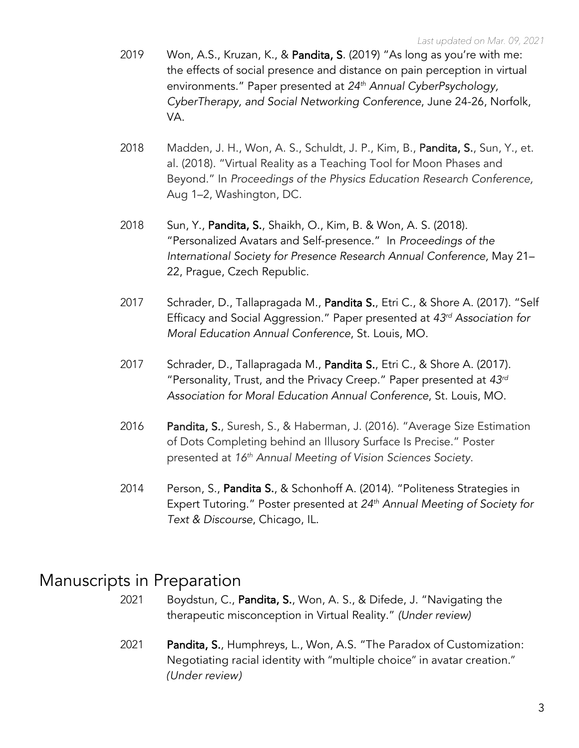- 2019 Won, A.S., Kruzan, K., & Pandita, S. (2019) "As long as you're with me: the effects of social presence and distance on pain perception in virtual environments." Paper presented at *24th Annual CyberPsychology, CyberTherapy, and Social Networking Conference*, June 24-26, Norfolk, VA.
- 2018 Madden, J. H., Won, A. S., Schuldt, J. P., Kim, B., Pandita, S., Sun, Y., et. al. (2018). "Virtual Reality as a Teaching Tool for Moon Phases and Beyond." In *Proceedings of the Physics Education Research Conference,*  Aug 1–2, Washington, DC*.*
- 2018 Sun, Y., Pandita, S., Shaikh, O., Kim, B. & Won, A. S. (2018). "Personalized Avatars and Self-presence." In *Proceedings of the International Society for Presence Research Annual Conference,* May 21– 22, Prague, Czech Republic.
- 2017 Schrader, D., Tallapragada M., Pandita S., Etri C., & Shore A. (2017). "Self Efficacy and Social Aggression." Paper presented at *43rd Association for Moral Education Annual Conference*, St. Louis, MO.
- 2017 Schrader, D., Tallapragada M., Pandita S., Etri C., & Shore A. (2017). "Personality, Trust, and the Privacy Creep." Paper presented at *43rd Association for Moral Education Annual Conference*, St. Louis, MO.
- 2016 Pandita, S., Suresh, S., & Haberman, J. (2016). "Average Size Estimation of Dots Completing behind an Illusory Surface Is Precise." Poster presented at *16th Annual Meeting of Vision Sciences Society*.
- 2014 Person, S., Pandita S., & Schonhoff A. (2014). "Politeness Strategies in Expert Tutoring." Poster presented at *24th Annual Meeting of Society for Text & Discourse*, Chicago, IL.

#### Manuscripts in Preparation

- 2021 Boydstun, C., Pandita, S., Won, A. S., & Difede, J. "Navigating the therapeutic misconception in Virtual Reality." *(Under review)*
- 2021 Pandita, S., Humphreys, L., Won, A.S. "The Paradox of Customization: Negotiating racial identity with "multiple choice" in avatar creation." *(Under review)*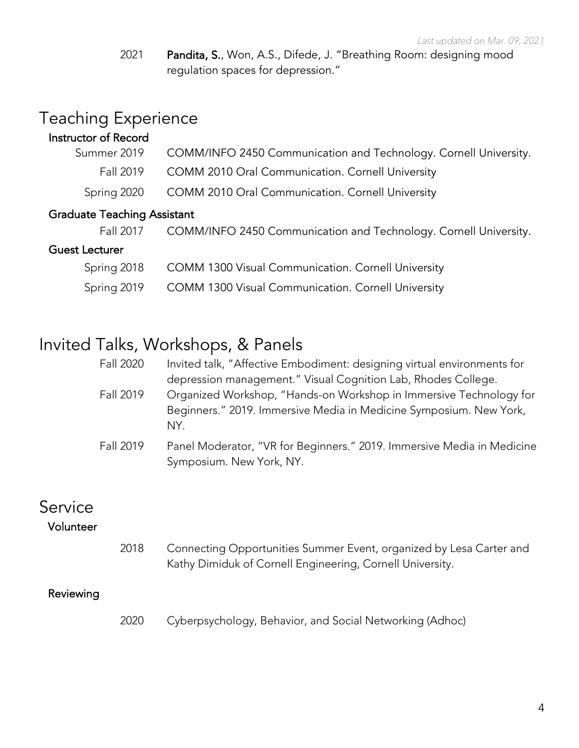2021 Pandita, S., Won, A.S., Difede, J. "Breathing Room: designing mood regulation spaces for depression."

# Teaching Experience

| Instructor of Record               |                                                                  |
|------------------------------------|------------------------------------------------------------------|
| Summer 2019                        | COMM/INFO 2450 Communication and Technology. Cornell University. |
| Fall 2019                          | COMM 2010 Oral Communication. Cornell University                 |
| Spring 2020                        | COMM 2010 Oral Communication. Cornell University                 |
| <b>Graduate Teaching Assistant</b> |                                                                  |
| Fall 2017                          | COMM/INFO 2450 Communication and Technology. Cornell University. |
| <b>Guest Lecturer</b>              |                                                                  |
| Spring 2018                        | COMM 1300 Visual Communication. Cornell University               |
| Spring 2019                        | COMM 1300 Visual Communication. Cornell University               |

#### Invited Talks, Workshops, & Panels

| Fall 2020 | Invited talk, "Affective Embodiment: designing virtual environments for   |
|-----------|---------------------------------------------------------------------------|
|           | depression management." Visual Cognition Lab, Rhodes College.             |
| Fall 2019 | Organized Workshop, "Hands-on Workshop in Immersive Technology for        |
|           | Beginners." 2019. Immersive Media in Medicine Symposium. New York,<br>NY. |
| Fall 2019 | Panel Moderator, "VR for Beginners." 2019. Immersive Media in Medicine    |
|           | Symposium. New York, NY.                                                  |

#### Service

#### Volunteer

2018 Connecting Opportunities Summer Event, organized by Lesa Carter and Kathy Dimiduk of Cornell Engineering, Cornell University.

#### Reviewing

2020 Cyberpsychology, Behavior, and Social Networking (Adhoc)